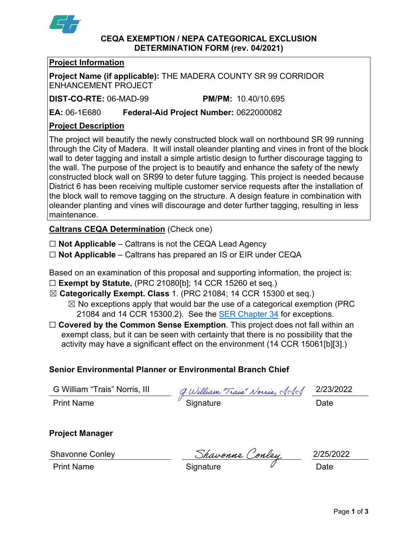

### **CEQA EXEMPTION / NEPA CATEGORICAL EXCLUSION DETERMINATION FORM (rev. 04/2021)**

## **Project Information**

**Project Name (if applicable):** THE MADERA COUNTY SR 99 CORRIDOR ENHANCEMENT PROJECT

**DIST-CO-RTE:** 06-MAD-99 **PM/PM:** 10.40/10.695

**EA:** 06-1E680 **Federal-Aid Project Number:** 0622000082

# **Project Description**

The project will beautify the newly constructed block wall on northbound SR 99 running through the City of Madera. It will install oleander planting and vines in front of the block wall to deter tagging and install a simple artistic design to further discourage tagging to the wall. The purpose of the project is to beautify and enhance the safety of the newly constructed block wall on SR99 to deter future tagging. This project is needed because District 6 has been receiving multiple customer service requests after the installation of the block wall to remove tagging on the structure. A design feature in combination with oleander planting and vines will discourage and deter further tagging, resulting in less maintenance.

**Caltrans CEQA Determination** (Check one)

- ☐ **Not Applicable** Caltrans is not the CEQA Lead Agency
- ☐ **Not Applicable** Caltrans has prepared an IS or EIR under CEQA

Based on an examination of this proposal and supporting information, the project is: ☐ **Exempt by Statute.** (PRC 21080[b]; 14 CCR 15260 et seq.)

- ☒ **Categorically Exempt. Class** 1. (PRC 21084; 14 CCR 15300 et seq.)
	- $\boxtimes$  No exceptions apply that would bar the use of a categorical exemption (PRC 21084 and 14 CCR 15300.2). See the **SER Chapter 34** for exceptions.
- □ **Covered by the Common Sense Exemption**. This project does not fall within an exempt class, but it can be seen with certainty that there is no possibility that the activity may have a significant effect on the environment (14 CCR 15061[b][3].)

# **Senior Environmental Planner or Environmental Branch Chief**

| G William "Trais" Norris, III | g William "Trais" Norris, AAA | 2/23/2022 |
|-------------------------------|-------------------------------|-----------|
| <b>Print Name</b>             | Signature                     | Date      |

## **Project Manager**

Shavonne Conley  $S$ havonne Conley 2/25/2022

Print Name  $\qquad \qquad \qquad$  Signature  $\qquad \qquad \qquad \qquad$  Date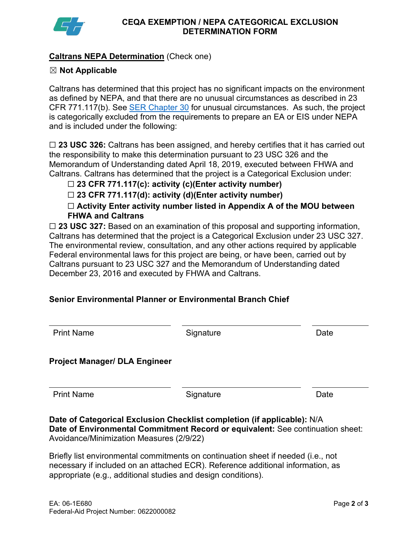

# **Caltrans NEPA Determination** (Check one)

## ☒ **Not Applicable**

Caltrans has determined that this project has no significant impacts on the environment as defined by NEPA, and that there are no unusual circumstances as described in 23 CFR 771.117(b). See [SER Chapter 30](https://dot.ca.gov/programs/environmental-analysis/standard-environmental-reference-ser/volume-1-guidance-for-compliance/ch-30-categorical-exclusions#exception) for unusual circumstances. As such, the project is categorically excluded from the requirements to prepare an EA or EIS under NEPA and is included under the following:

☐ **23 USC 326:** Caltrans has been assigned, and hereby certifies that it has carried out the responsibility to make this determination pursuant to 23 USC 326 and the Memorandum of Understanding dated April 18, 2019, executed between FHWA and Caltrans. Caltrans has determined that the project is a Categorical Exclusion under:

☐ **23 CFR 771.117(c): activity (c)(Enter activity number)**

☐ **23 CFR 771.117(d): activity (d)(Enter activity number)**

☐ **Activity Enter activity number listed in Appendix A of the MOU between FHWA and Caltrans**

□ 23 USC 327: Based on an examination of this proposal and supporting information, Caltrans has determined that the project is a Categorical Exclusion under 23 USC 327. The environmental review, consultation, and any other actions required by applicable Federal environmental laws for this project are being, or have been, carried out by Caltrans pursuant to 23 USC 327 and the Memorandum of Understanding dated December 23, 2016 and executed by FHWA and Caltrans.

# **Senior Environmental Planner or Environmental Branch Chief**

| <b>Print Name</b>                    | Signature | Date |
|--------------------------------------|-----------|------|
| <b>Project Manager/ DLA Engineer</b> |           |      |
| <b>Print Name</b>                    | Signature | Date |

**Date of Categorical Exclusion Checklist completion (if applicable):** N/A **Date of Environmental Commitment Record or equivalent:** See continuation sheet: Avoidance/Minimization Measures (2/9/22)

Briefly list environmental commitments on continuation sheet if needed (i.e., not necessary if included on an attached ECR). Reference additional information, as appropriate (e.g., additional studies and design conditions).